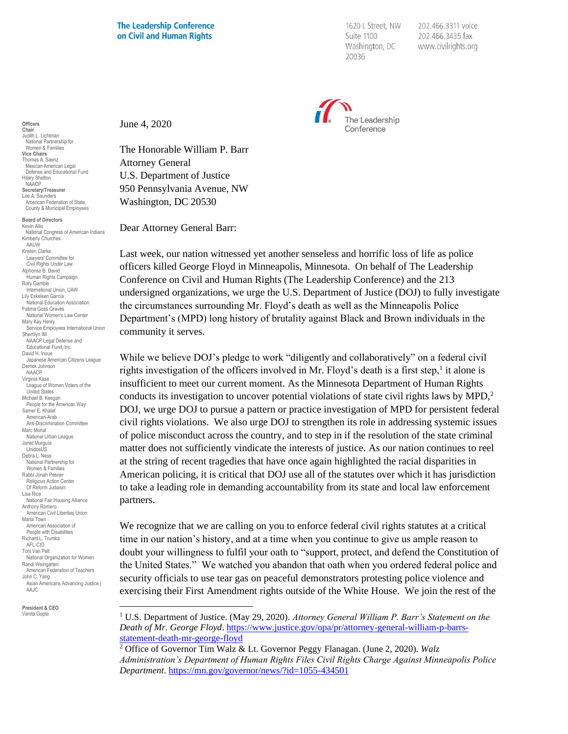1620 L Street, NW Suite 1100 Washington, DC 20036

202.466.3311 voice 202.466.3435 fax www.civilrights.org



June 4, 2020

The Honorable William P. Barr Attorney General U.S. Department of Justice 950 Pennsylvania Avenue, NW Washington, DC 20530

Dear Attorney General Barr:

Last week, our nation witnessed yet another senseless and horrific loss of life as police officers killed George Floyd in Minneapolis, Minnesota. On behalf of The Leadership Conference on Civil and Human Rights (The Leadership Conference) and the 213 undersigned organizations, we urge the U.S. Department of Justice (DOJ) to fully investigate the circumstances surrounding Mr. Floyd's death as well as the Minneapolis Police Department's (MPD) long history of brutality against Black and Brown individuals in the community it serves.

While we believe DOJ's pledge to work "diligently and collaboratively" on a federal civil rights investigation of the officers involved in Mr. Floyd's death is a first step,<sup>1</sup> it alone is insufficient to meet our current moment. As the Minnesota Department of Human Rights conducts its investigation to uncover potential violations of state civil rights laws by MPD,<sup>2</sup> DOJ, we urge DOJ to pursue a pattern or practice investigation of MPD for persistent federal civil rights violations. We also urge DOJ to strengthen its role in addressing systemic issues of police misconduct across the country, and to step in if the resolution of the state criminal matter does not sufficiently vindicate the interests of justice. As our nation continues to reel at the string of recent tragedies that have once again highlighted the racial disparities in American policing, it is critical that DOJ use all of the statutes over which it has jurisdiction to take a leading role in demanding accountability from its state and local law enforcement partners.

We recognize that we are calling on you to enforce federal civil rights statutes at a critical time in our nation's history, and at a time when you continue to give us ample reason to doubt your willingness to fulfil your oath to "support, protect, and defend the Constitution of the United States." We watched you abandon that oath when you ordered federal police and security officials to use tear gas on peaceful demonstrators protesting police violence and exercising their First Amendment rights outside of the White House. We join the rest of the

**Officers Chair** Judith L. Lichtman National Partnership for Women & Families **Vice Chairs** Thomas A. Saenz Mexican American Legal Defense and Educational Fund Hilary Shelton NAACP **Secretary/Treasurer** Lee A. Saunders American Federation of State, County & Municipal Employees

**Board of Directors** Kevin Allis National Congress of American Indians Kimberly Churches **AAUW** Kristen Clarke Lawyers' Committee for Civil Rights Under Law Alphonso B. David Human Rights Campaign Rory Gamble International Union, UAW Lily Eskelsen García National Education Association Fatima Goss Graves National Women's Law Center Mary Kay Henry Service Employees International Union Sherrilyn Ifill NAACP Legal Defense and Educational Fund, Inc. David H. Inoue Japanese American Citizens League Derrick Johnson NAACP Virginia Kase League of Women Voters of the United States Michael B. Keegan People for the American Way Samer E. Khalaf American-Arab Anti-Discrimination Committee Marc Morial National Urban League Janet Murguía UnidosL<sub>IS</sub> Debra L. Ness National Partnership for Women & Families Rabbi Jonah Pesner Religious Action Center Of Reform Judaism Lisa Rice National Fair Housing Alliance Anthony Romero American Civil Liberties Union Maria Town American Association of People with Disabilities Richard L. Trumka AFL-CIO Toni Van Pelt National Organization for Women Randi Weingarten American Federation of Teachers John C. Yang Asian Americans Advancing Justice | AAJC

**President & CEO** Vanita Gupta

<sup>1</sup> U.S. Department of Justice. (May 29, 2020). *Attorney General William P. Barr's Statement on the Death of Mr. George Floyd*. [https://www.justice.gov/opa/pr/attorney-general-william-p-barrs](https://www.justice.gov/opa/pr/attorney-general-william-p-barrs-statement-death-mr-george-floyd)[statement-death-mr-george-floyd](https://www.justice.gov/opa/pr/attorney-general-william-p-barrs-statement-death-mr-george-floyd)

<sup>2</sup> Office of Governor Tim Walz & Lt. Governor Peggy Flanagan. (June 2, 2020). *Walz Administration's Department of Human Rights Files Civil Rights Charge Against Minneapolis Police Department*.<https://mn.gov/governor/news/?id=1055-434501>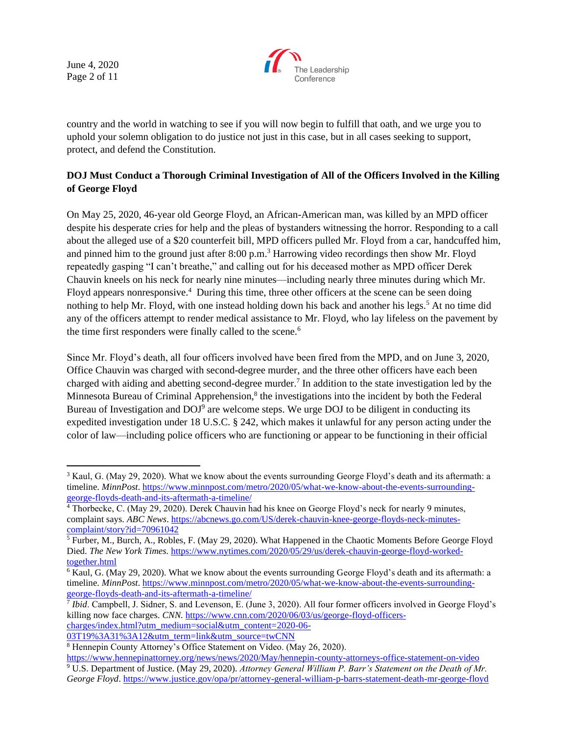June 4, 2020 Page 2 of 11



country and the world in watching to see if you will now begin to fulfill that oath, and we urge you to uphold your solemn obligation to do justice not just in this case, but in all cases seeking to support, protect, and defend the Constitution.

## **DOJ Must Conduct a Thorough Criminal Investigation of All of the Officers Involved in the Killing of George Floyd**

On May 25, 2020, 46-year old George Floyd, an African-American man, was killed by an MPD officer despite his desperate cries for help and the pleas of bystanders witnessing the horror. Responding to a call about the alleged use of a \$20 counterfeit bill, MPD officers pulled Mr. Floyd from a car, handcuffed him, and pinned him to the ground just after 8:00 p.m.<sup>3</sup> Harrowing video recordings then show Mr. Floyd repeatedly gasping "I can't breathe," and calling out for his deceased mother as MPD officer Derek Chauvin kneels on his neck for nearly nine minutes—including nearly three minutes during which Mr. Floyd appears nonresponsive.<sup>4</sup> During this time, three other officers at the scene can be seen doing nothing to help Mr. Floyd, with one instead holding down his back and another his legs.<sup>5</sup> At no time did any of the officers attempt to render medical assistance to Mr. Floyd, who lay lifeless on the pavement by the time first responders were finally called to the scene.<sup>6</sup>

Since Mr. Floyd's death, all four officers involved have been fired from the MPD, and on June 3, 2020, Office Chauvin was charged with second-degree murder, and the three other officers have each been charged with aiding and abetting second-degree murder.<sup>7</sup> In addition to the state investigation led by the Minnesota Bureau of Criminal Apprehension,<sup>8</sup> the investigations into the incident by both the Federal Bureau of Investigation and DOJ<sup>9</sup> are welcome steps. We urge DOJ to be diligent in conducting its expedited investigation under 18 U.S.C. § 242, which makes it unlawful for any person acting under the color of law—including police officers who are functioning or appear to be functioning in their official

[george-floyds-death-and-its-aftermath-a-timeline/](https://www.minnpost.com/metro/2020/05/what-we-know-about-the-events-surrounding-george-floyds-death-and-its-aftermath-a-timeline/) 7 *Ibid*. Campbell, J. Sidner, S. and Levenson, E. (June 3, 2020). All four former officers involved in George Floyd's killing now face charges. *CNN*. [https://www.cnn.com/2020/06/03/us/george-floyd-officers](https://www.cnn.com/2020/06/03/us/george-floyd-officers-charges/index.html?utm_medium=social&utm_content=2020-06-03T19%3A31%3A12&utm_term=link&utm_source=twCNN)[charges/index.html?utm\\_medium=social&utm\\_content=2020-06-](https://www.cnn.com/2020/06/03/us/george-floyd-officers-charges/index.html?utm_medium=social&utm_content=2020-06-03T19%3A31%3A12&utm_term=link&utm_source=twCNN)

[03T19%3A31%3A12&utm\\_term=link&utm\\_source=twCNN](https://www.cnn.com/2020/06/03/us/george-floyd-officers-charges/index.html?utm_medium=social&utm_content=2020-06-03T19%3A31%3A12&utm_term=link&utm_source=twCNN)

<sup>&</sup>lt;sup>3</sup> Kaul, G. (May 29, 2020). What we know about the events surrounding George Floyd's death and its aftermath: a timeline. *MinnPost*[. https://www.minnpost.com/metro/2020/05/what-we-know-about-the-events-surrounding](https://www.minnpost.com/metro/2020/05/what-we-know-about-the-events-surrounding-george-floyds-death-and-its-aftermath-a-timeline/)[george-floyds-death-and-its-aftermath-a-timeline/](https://www.minnpost.com/metro/2020/05/what-we-know-about-the-events-surrounding-george-floyds-death-and-its-aftermath-a-timeline/)

<sup>4</sup> Thorbecke, C. (May 29, 2020). Derek Chauvin had his knee on George Floyd's neck for nearly 9 minutes, complaint says. *ABC News*. [https://abcnews.go.com/US/derek-chauvin-knee-george-floyds-neck-minutes](https://abcnews.go.com/US/derek-chauvin-knee-george-floyds-neck-minutes-complaint/story?id=70961042)[complaint/story?id=70961042](https://abcnews.go.com/US/derek-chauvin-knee-george-floyds-neck-minutes-complaint/story?id=70961042)

<sup>&</sup>lt;sup>5</sup> Furber, M., Burch, A., Robles, F. (May 29, 2020). What Happened in the Chaotic Moments Before George Floyd Died. *The New York Times.* [https://www.nytimes.com/2020/05/29/us/derek-chauvin-george-floyd-worked](https://www.nytimes.com/2020/05/29/us/derek-chauvin-george-floyd-worked-together.html)[together.html](https://www.nytimes.com/2020/05/29/us/derek-chauvin-george-floyd-worked-together.html)

<sup>&</sup>lt;sup>6</sup> Kaul, G. (May 29, 2020). What we know about the events surrounding George Floyd's death and its aftermath: a timeline. *MinnPost*[. https://www.minnpost.com/metro/2020/05/what-we-know-about-the-events-surrounding-](https://www.minnpost.com/metro/2020/05/what-we-know-about-the-events-surrounding-george-floyds-death-and-its-aftermath-a-timeline/)

<sup>8</sup> Hennepin County Attorney's Office Statement on Video. (May 26, 2020).

<https://www.hennepinattorney.org/news/news/2020/May/hennepin-county-attorneys-office-statement-on-video> <sup>9</sup> U.S. Department of Justice. (May 29, 2020). *Attorney General William P. Barr's Statement on the Death of Mr. George Floyd*.<https://www.justice.gov/opa/pr/attorney-general-william-p-barrs-statement-death-mr-george-floyd>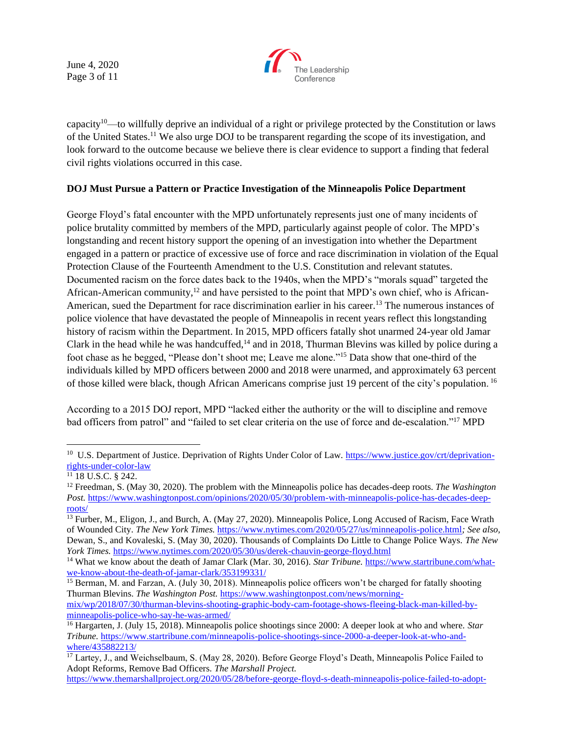June 4, 2020 Page 3 of 11



capacity<sup>10</sup>—to willfully deprive an individual of a right or privilege protected by the Constitution or laws of the United States.<sup>11</sup> We also urge DOJ to be transparent regarding the scope of its investigation, and look forward to the outcome because we believe there is clear evidence to support a finding that federal civil rights violations occurred in this case.

## **DOJ Must Pursue a Pattern or Practice Investigation of the Minneapolis Police Department**

George Floyd's fatal encounter with the MPD unfortunately represents just one of many incidents of police brutality committed by members of the MPD, particularly against people of color. The MPD's longstanding and recent history support the opening of an investigation into whether the Department engaged in a pattern or practice of excessive use of force and race discrimination in violation of the Equal Protection Clause of the Fourteenth Amendment to the U.S. Constitution and relevant statutes. Documented racism on the force dates back to the 1940s, when the MPD's "morals squad" targeted the African-American community,<sup>12</sup> and have persisted to the point that MPD's own chief, who is African-American, sued the Department for race discrimination earlier in his career.<sup>13</sup> The numerous instances of police violence that have devastated the people of Minneapolis in recent years reflect this longstanding history of racism within the Department. In 2015, MPD officers fatally shot unarmed 24-year old Jamar Clark in the head while he was handcuffed,<sup>14</sup> and in 2018, Thurman Blevins was killed by police during a foot chase as he begged, "Please don't shoot me; Leave me alone."<sup>15</sup> Data show that one-third of the individuals killed by MPD officers between 2000 and 2018 were unarmed, and approximately 63 percent of those killed were black, though African Americans comprise just 19 percent of the city's population. <sup>16</sup>

According to a 2015 DOJ report, MPD "lacked either the authority or the will to discipline and remove bad officers from patrol" and "failed to set clear criteria on the use of force and de-escalation."<sup>17</sup> MPD

<sup>&</sup>lt;sup>10</sup> U.S. Department of Justice. Deprivation of Rights Under Color of Law. [https://www.justice.gov/crt/deprivation](https://www.justice.gov/crt/deprivation-rights-under-color-law)[rights-under-color-law](https://www.justice.gov/crt/deprivation-rights-under-color-law)

 $11$  18 U.S.C. § 242.

<sup>12</sup> Freedman, S. (May 30, 2020). The problem with the Minneapolis police has decades-deep roots. *The Washington Post.* [https://www.washingtonpost.com/opinions/2020/05/30/problem-with-minneapolis-police-has-decades-deep](https://www.washingtonpost.com/opinions/2020/05/30/problem-with-minneapolis-police-has-decades-deep-roots/)[roots/](https://www.washingtonpost.com/opinions/2020/05/30/problem-with-minneapolis-police-has-decades-deep-roots/)

<sup>&</sup>lt;sup>13</sup> Furber, M., Eligon, J., and Burch, A. (May 27, 2020). Minneapolis Police, Long Accused of Racism, Face Wrath of Wounded City. *The New York Times.* <https://www.nytimes.com/2020/05/27/us/minneapolis-police.html>*; See also,*  Dewan, S., and Kovaleski, S. (May 30, 2020). Thousands of Complaints Do Little to Change Police Ways. *The New York Times.* <https://www.nytimes.com/2020/05/30/us/derek-chauvin-george-floyd.html>

<sup>14</sup> What we know about the death of Jamar Clark (Mar. 30, 2016). *Star Tribune.* [https://www.startribune.com/what](https://www.startribune.com/what-we-know-about-the-death-of-jamar-clark/353199331/)[we-know-about-the-death-of-jamar-clark/353199331/](https://www.startribune.com/what-we-know-about-the-death-of-jamar-clark/353199331/)

<sup>&</sup>lt;sup>15</sup> Berman, M. and Farzan, A. (July 30, 2018). Minneapolis police officers won't be charged for fatally shooting Thurman Blevins. *The Washington Post.* [https://www.washingtonpost.com/news/morning-](https://www.washingtonpost.com/news/morning-mix/wp/2018/07/30/thurman-blevins-shooting-graphic-body-cam-footage-shows-fleeing-black-man-killed-by-minneapolis-police-who-say-he-was-armed/)

[mix/wp/2018/07/30/thurman-blevins-shooting-graphic-body-cam-footage-shows-fleeing-black-man-killed-by](https://www.washingtonpost.com/news/morning-mix/wp/2018/07/30/thurman-blevins-shooting-graphic-body-cam-footage-shows-fleeing-black-man-killed-by-minneapolis-police-who-say-he-was-armed/)[minneapolis-police-who-say-he-was-armed/](https://www.washingtonpost.com/news/morning-mix/wp/2018/07/30/thurman-blevins-shooting-graphic-body-cam-footage-shows-fleeing-black-man-killed-by-minneapolis-police-who-say-he-was-armed/)

<sup>16</sup> Hargarten, J. (July 15, 2018). Minneapolis police shootings since 2000: A deeper look at who and where. *Star Tribune.* [https://www.startribune.com/minneapolis-police-shootings-since-2000-a-deeper-look-at-who-and](https://www.startribune.com/minneapolis-police-shootings-since-2000-a-deeper-look-at-who-and-where/435882213/)[where/435882213/](https://www.startribune.com/minneapolis-police-shootings-since-2000-a-deeper-look-at-who-and-where/435882213/)

<sup>&</sup>lt;sup>17</sup> Lartey, J., and Weichselbaum, S. (May 28, 2020). Before George Floyd's Death, Minneapolis Police Failed to Adopt Reforms, Remove Bad Officers. *The Marshall Project.* 

[https://www.themarshallproject.org/2020/05/28/before-george-floyd-s-death-minneapolis-police-failed-to-adopt-](https://www.themarshallproject.org/2020/05/28/before-george-floyd-s-death-minneapolis-police-failed-to-adopt-reforms-remove-bad-officers)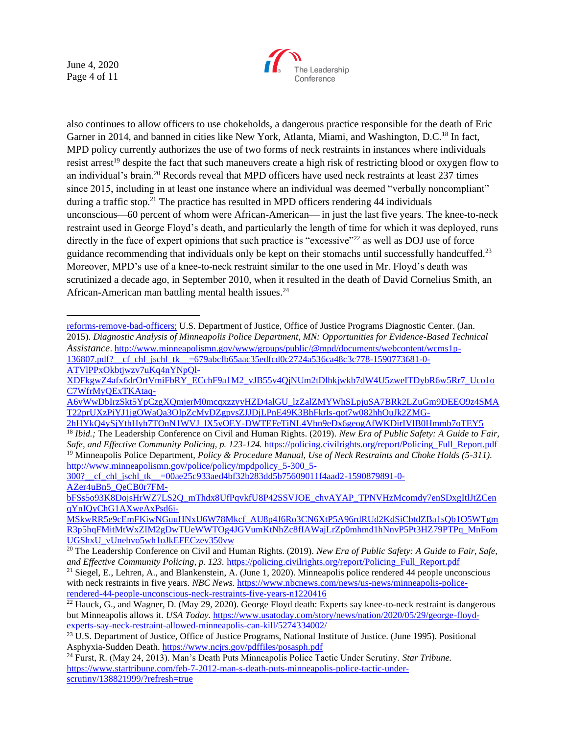June 4, 2020 Page 4 of 11



also continues to allow officers to use chokeholds, a dangerous practice responsible for the death of Eric Garner in 2014, and banned in cities like New York, Atlanta, Miami, and Washington, D.C.<sup>18</sup> In fact, MPD policy currently authorizes the use of two forms of neck restraints in instances where individuals resist arrest<sup>19</sup> despite the fact that such maneuvers create a high risk of restricting blood or oxygen flow to an individual's brain.<sup>20</sup> Records reveal that MPD officers have used neck restraints at least 237 times since 2015, including in at least one instance where an individual was deemed "verbally noncompliant" during a traffic stop.<sup>21</sup> The practice has resulted in MPD officers rendering 44 individuals unconscious—60 percent of whom were African-American— in just the last five years. The knee-to-neck restraint used in George Floyd's death, and particularly the length of time for which it was deployed, runs directly in the face of expert opinions that such practice is "excessive"<sup>22</sup> as well as DOJ use of force guidance recommending that individuals only be kept on their stomachs until successfully handcuffed.<sup>23</sup> Moreover, MPD's use of a knee-to-neck restraint similar to the one used in Mr. Floyd's death was scrutinized a decade ago, in September 2010, when it resulted in the death of David Cornelius Smith, an African-American man battling mental health issues.<sup>24</sup>

[reforms-remove-bad-officers;](https://www.themarshallproject.org/2020/05/28/before-george-floyd-s-death-minneapolis-police-failed-to-adopt-reforms-remove-bad-officers) U.S. Department of Justice, Office of Justice Programs Diagnostic Center. (Jan. 2015). *Diagnostic Analysis of Minneapolis Police Department, MN: Opportunities for Evidence-Based Technical Assistance*[. http://www.minneapolismn.gov/www/groups/public/@mpd/documents/webcontent/wcms1p-](http://www.minneapolismn.gov/www/groups/public/@mpd/documents/webcontent/wcms1p-136807.pdf?__cf_chl_jschl_tk__=679abcfb65aac35edfcd0c2724a536ca48c3c778-1590773681-0-ATVlPPxOkbtjwzv7uKq4nYNpQl-XDFkgwZ4afx6drOrtVmiFbRY_ECchF9a1M2_vJB55v4QjNUm2tDlhkjwkb7dW4U5zweITDybR6w5Rr7_Uco1oC7WfrMyQExTKAtaq-A6vWwDbIrzSkt5YpCzgXQmjerM0mcqxzzyyHZD4alGU_lzZalZMYWhSLpjuSA7BRk2LZuGm9DEEO9z4SMAT22prUXzPiYJ1jgOWaQa3OIpZcMvDZgpvsZJJDjLPnE49K3BhFkrls-qot7w082hhOuJk2ZMG-2hHYkQ4ySjYthHyh7TOnN1WVJ_lX5yOEY-DWTEFeTiNL4Vhn9eDx6geogAfWKDirIVlB0Hmmb7oTEY5)[136807.pdf?\\_\\_cf\\_chl\\_jschl\\_tk\\_\\_=679abcfb65aac35edfcd0c2724a536ca48c3c778-1590773681-0-](http://www.minneapolismn.gov/www/groups/public/@mpd/documents/webcontent/wcms1p-136807.pdf?__cf_chl_jschl_tk__=679abcfb65aac35edfcd0c2724a536ca48c3c778-1590773681-0-ATVlPPxOkbtjwzv7uKq4nYNpQl-XDFkgwZ4afx6drOrtVmiFbRY_ECchF9a1M2_vJB55v4QjNUm2tDlhkjwkb7dW4U5zweITDybR6w5Rr7_Uco1oC7WfrMyQExTKAtaq-A6vWwDbIrzSkt5YpCzgXQmjerM0mcqxzzyyHZD4alGU_lzZalZMYWhSLpjuSA7BRk2LZuGm9DEEO9z4SMAT22prUXzPiYJ1jgOWaQa3OIpZcMvDZgpvsZJJDjLPnE49K3BhFkrls-qot7w082hhOuJk2ZMG-2hHYkQ4ySjYthHyh7TOnN1WVJ_lX5yOEY-DWTEFeTiNL4Vhn9eDx6geogAfWKDirIVlB0Hmmb7oTEY5) [ATVlPPxOkbtjwzv7uKq4nYNpQl-](http://www.minneapolismn.gov/www/groups/public/@mpd/documents/webcontent/wcms1p-136807.pdf?__cf_chl_jschl_tk__=679abcfb65aac35edfcd0c2724a536ca48c3c778-1590773681-0-ATVlPPxOkbtjwzv7uKq4nYNpQl-XDFkgwZ4afx6drOrtVmiFbRY_ECchF9a1M2_vJB55v4QjNUm2tDlhkjwkb7dW4U5zweITDybR6w5Rr7_Uco1oC7WfrMyQExTKAtaq-A6vWwDbIrzSkt5YpCzgXQmjerM0mcqxzzyyHZD4alGU_lzZalZMYWhSLpjuSA7BRk2LZuGm9DEEO9z4SMAT22prUXzPiYJ1jgOWaQa3OIpZcMvDZgpvsZJJDjLPnE49K3BhFkrls-qot7w082hhOuJk2ZMG-2hHYkQ4ySjYthHyh7TOnN1WVJ_lX5yOEY-DWTEFeTiNL4Vhn9eDx6geogAfWKDirIVlB0Hmmb7oTEY5)

[XDFkgwZ4afx6drOrtVmiFbRY\\_ECchF9a1M2\\_vJB55v4QjNUm2tDlhkjwkb7dW4U5zweITDybR6w5Rr7\\_Uco1o](http://www.minneapolismn.gov/www/groups/public/@mpd/documents/webcontent/wcms1p-136807.pdf?__cf_chl_jschl_tk__=679abcfb65aac35edfcd0c2724a536ca48c3c778-1590773681-0-ATVlPPxOkbtjwzv7uKq4nYNpQl-XDFkgwZ4afx6drOrtVmiFbRY_ECchF9a1M2_vJB55v4QjNUm2tDlhkjwkb7dW4U5zweITDybR6w5Rr7_Uco1oC7WfrMyQExTKAtaq-A6vWwDbIrzSkt5YpCzgXQmjerM0mcqxzzyyHZD4alGU_lzZalZMYWhSLpjuSA7BRk2LZuGm9DEEO9z4SMAT22prUXzPiYJ1jgOWaQa3OIpZcMvDZgpvsZJJDjLPnE49K3BhFkrls-qot7w082hhOuJk2ZMG-2hHYkQ4ySjYthHyh7TOnN1WVJ_lX5yOEY-DWTEFeTiNL4Vhn9eDx6geogAfWKDirIVlB0Hmmb7oTEY5) [C7WfrMyQExTKAtaq-](http://www.minneapolismn.gov/www/groups/public/@mpd/documents/webcontent/wcms1p-136807.pdf?__cf_chl_jschl_tk__=679abcfb65aac35edfcd0c2724a536ca48c3c778-1590773681-0-ATVlPPxOkbtjwzv7uKq4nYNpQl-XDFkgwZ4afx6drOrtVmiFbRY_ECchF9a1M2_vJB55v4QjNUm2tDlhkjwkb7dW4U5zweITDybR6w5Rr7_Uco1oC7WfrMyQExTKAtaq-A6vWwDbIrzSkt5YpCzgXQmjerM0mcqxzzyyHZD4alGU_lzZalZMYWhSLpjuSA7BRk2LZuGm9DEEO9z4SMAT22prUXzPiYJ1jgOWaQa3OIpZcMvDZgpvsZJJDjLPnE49K3BhFkrls-qot7w082hhOuJk2ZMG-2hHYkQ4ySjYthHyh7TOnN1WVJ_lX5yOEY-DWTEFeTiNL4Vhn9eDx6geogAfWKDirIVlB0Hmmb7oTEY5)

[A6vWwDbIrzSkt5YpCzgXQmjerM0mcqxzzyyHZD4alGU\\_lzZalZMYWhSLpjuSA7BRk2LZuGm9DEEO9z4SMA](http://www.minneapolismn.gov/www/groups/public/@mpd/documents/webcontent/wcms1p-136807.pdf?__cf_chl_jschl_tk__=679abcfb65aac35edfcd0c2724a536ca48c3c778-1590773681-0-ATVlPPxOkbtjwzv7uKq4nYNpQl-XDFkgwZ4afx6drOrtVmiFbRY_ECchF9a1M2_vJB55v4QjNUm2tDlhkjwkb7dW4U5zweITDybR6w5Rr7_Uco1oC7WfrMyQExTKAtaq-A6vWwDbIrzSkt5YpCzgXQmjerM0mcqxzzyyHZD4alGU_lzZalZMYWhSLpjuSA7BRk2LZuGm9DEEO9z4SMAT22prUXzPiYJ1jgOWaQa3OIpZcMvDZgpvsZJJDjLPnE49K3BhFkrls-qot7w082hhOuJk2ZMG-2hHYkQ4ySjYthHyh7TOnN1WVJ_lX5yOEY-DWTEFeTiNL4Vhn9eDx6geogAfWKDirIVlB0Hmmb7oTEY5) [T22prUXzPiYJ1jgOWaQa3OIpZcMvDZgpvsZJJDjLPnE49K3BhFkrls-qot7w082hhOuJk2ZMG-](http://www.minneapolismn.gov/www/groups/public/@mpd/documents/webcontent/wcms1p-136807.pdf?__cf_chl_jschl_tk__=679abcfb65aac35edfcd0c2724a536ca48c3c778-1590773681-0-ATVlPPxOkbtjwzv7uKq4nYNpQl-XDFkgwZ4afx6drOrtVmiFbRY_ECchF9a1M2_vJB55v4QjNUm2tDlhkjwkb7dW4U5zweITDybR6w5Rr7_Uco1oC7WfrMyQExTKAtaq-A6vWwDbIrzSkt5YpCzgXQmjerM0mcqxzzyyHZD4alGU_lzZalZMYWhSLpjuSA7BRk2LZuGm9DEEO9z4SMAT22prUXzPiYJ1jgOWaQa3OIpZcMvDZgpvsZJJDjLPnE49K3BhFkrls-qot7w082hhOuJk2ZMG-2hHYkQ4ySjYthHyh7TOnN1WVJ_lX5yOEY-DWTEFeTiNL4Vhn9eDx6geogAfWKDirIVlB0Hmmb7oTEY5)

[<sup>2</sup>hHYkQ4ySjYthHyh7TOnN1WVJ\\_lX5yOEY-DWTEFeTiNL4Vhn9eDx6geogAfWKDirIVlB0Hmmb7oTEY5](http://www.minneapolismn.gov/www/groups/public/@mpd/documents/webcontent/wcms1p-136807.pdf?__cf_chl_jschl_tk__=679abcfb65aac35edfcd0c2724a536ca48c3c778-1590773681-0-ATVlPPxOkbtjwzv7uKq4nYNpQl-XDFkgwZ4afx6drOrtVmiFbRY_ECchF9a1M2_vJB55v4QjNUm2tDlhkjwkb7dW4U5zweITDybR6w5Rr7_Uco1oC7WfrMyQExTKAtaq-A6vWwDbIrzSkt5YpCzgXQmjerM0mcqxzzyyHZD4alGU_lzZalZMYWhSLpjuSA7BRk2LZuGm9DEEO9z4SMAT22prUXzPiYJ1jgOWaQa3OIpZcMvDZgpvsZJJDjLPnE49K3BhFkrls-qot7w082hhOuJk2ZMG-2hHYkQ4ySjYthHyh7TOnN1WVJ_lX5yOEY-DWTEFeTiNL4Vhn9eDx6geogAfWKDirIVlB0Hmmb7oTEY5) <sup>18</sup> *Ibid.;* The Leadership Conference on Civil and Human Rights. (2019). *New Era of Public Safety: A Guide to Fair, Safe, and Effective Community Policing, p. 123-124. https://policing.civilrights.org/report/Policing Full Report.pdf* <sup>19</sup> Minneapolis Police Department, *Policy & Procedure Manual, Use of Neck Restraints and Choke Holds (5-311).*  [http://www.minneapolismn.gov/police/policy/mpdpolicy\\_5-300\\_5-](http://www.minneapolismn.gov/police/policy/mpdpolicy_5-300_5-300?__cf_chl_jschl_tk__=00ae25c933aed4bf32b283dd5b75609011f4aad2-1590879891-0-AZer4uBn5_QeCB0r7FM-bFSs5o93K8DojsHrWZ7LS2Q_mThdx8UfPqvkfU8P42SSVJOE_chvAYAP_TPNVHzMcomdy7enSDxgItlJtZCenqYnIQyChG1AXweAxPsd6i-MSkwRR5e9cEmFKiwNGuuHNxU6W78Mkcf_AU8p4J6Ro3CN6XtP5A96rdRUd2KdSiCbtdZBa1sQb1O5WTgmR3p5hqFMitMtWxZIM2gDwTUeWWTOg4JGVumKtNhZc8fIAWajLrZp0mhmd1hNnvP5Pt3HZ79PTPq_MnFomUGShxU_vUnehvo5wh1oJkEFECzev350vw)

[<sup>300?</sup>\\_\\_cf\\_chl\\_jschl\\_tk\\_\\_=00ae25c933aed4bf32b283dd5b75609011f4aad2-1590879891-0-](http://www.minneapolismn.gov/police/policy/mpdpolicy_5-300_5-300?__cf_chl_jschl_tk__=00ae25c933aed4bf32b283dd5b75609011f4aad2-1590879891-0-AZer4uBn5_QeCB0r7FM-bFSs5o93K8DojsHrWZ7LS2Q_mThdx8UfPqvkfU8P42SSVJOE_chvAYAP_TPNVHzMcomdy7enSDxgItlJtZCenqYnIQyChG1AXweAxPsd6i-MSkwRR5e9cEmFKiwNGuuHNxU6W78Mkcf_AU8p4J6Ro3CN6XtP5A96rdRUd2KdSiCbtdZBa1sQb1O5WTgmR3p5hqFMitMtWxZIM2gDwTUeWWTOg4JGVumKtNhZc8fIAWajLrZp0mhmd1hNnvP5Pt3HZ79PTPq_MnFomUGShxU_vUnehvo5wh1oJkEFECzev350vw) [AZer4uBn5\\_QeCB0r7FM-](http://www.minneapolismn.gov/police/policy/mpdpolicy_5-300_5-300?__cf_chl_jschl_tk__=00ae25c933aed4bf32b283dd5b75609011f4aad2-1590879891-0-AZer4uBn5_QeCB0r7FM-bFSs5o93K8DojsHrWZ7LS2Q_mThdx8UfPqvkfU8P42SSVJOE_chvAYAP_TPNVHzMcomdy7enSDxgItlJtZCenqYnIQyChG1AXweAxPsd6i-MSkwRR5e9cEmFKiwNGuuHNxU6W78Mkcf_AU8p4J6Ro3CN6XtP5A96rdRUd2KdSiCbtdZBa1sQb1O5WTgmR3p5hqFMitMtWxZIM2gDwTUeWWTOg4JGVumKtNhZc8fIAWajLrZp0mhmd1hNnvP5Pt3HZ79PTPq_MnFomUGShxU_vUnehvo5wh1oJkEFECzev350vw)

[bFSs5o93K8DojsHrWZ7LS2Q\\_mThdx8UfPqvkfU8P42SSVJOE\\_chvAYAP\\_TPNVHzMcomdy7enSDxgItlJtZCen](http://www.minneapolismn.gov/police/policy/mpdpolicy_5-300_5-300?__cf_chl_jschl_tk__=00ae25c933aed4bf32b283dd5b75609011f4aad2-1590879891-0-AZer4uBn5_QeCB0r7FM-bFSs5o93K8DojsHrWZ7LS2Q_mThdx8UfPqvkfU8P42SSVJOE_chvAYAP_TPNVHzMcomdy7enSDxgItlJtZCenqYnIQyChG1AXweAxPsd6i-MSkwRR5e9cEmFKiwNGuuHNxU6W78Mkcf_AU8p4J6Ro3CN6XtP5A96rdRUd2KdSiCbtdZBa1sQb1O5WTgmR3p5hqFMitMtWxZIM2gDwTUeWWTOg4JGVumKtNhZc8fIAWajLrZp0mhmd1hNnvP5Pt3HZ79PTPq_MnFomUGShxU_vUnehvo5wh1oJkEFECzev350vw) [qYnIQyChG1AXweAxPsd6i-](http://www.minneapolismn.gov/police/policy/mpdpolicy_5-300_5-300?__cf_chl_jschl_tk__=00ae25c933aed4bf32b283dd5b75609011f4aad2-1590879891-0-AZer4uBn5_QeCB0r7FM-bFSs5o93K8DojsHrWZ7LS2Q_mThdx8UfPqvkfU8P42SSVJOE_chvAYAP_TPNVHzMcomdy7enSDxgItlJtZCenqYnIQyChG1AXweAxPsd6i-MSkwRR5e9cEmFKiwNGuuHNxU6W78Mkcf_AU8p4J6Ro3CN6XtP5A96rdRUd2KdSiCbtdZBa1sQb1O5WTgmR3p5hqFMitMtWxZIM2gDwTUeWWTOg4JGVumKtNhZc8fIAWajLrZp0mhmd1hNnvP5Pt3HZ79PTPq_MnFomUGShxU_vUnehvo5wh1oJkEFECzev350vw)

[MSkwRR5e9cEmFKiwNGuuHNxU6W78Mkcf\\_AU8p4J6Ro3CN6XtP5A96rdRUd2KdSiCbtdZBa1sQb1O5WTgm](http://www.minneapolismn.gov/police/policy/mpdpolicy_5-300_5-300?__cf_chl_jschl_tk__=00ae25c933aed4bf32b283dd5b75609011f4aad2-1590879891-0-AZer4uBn5_QeCB0r7FM-bFSs5o93K8DojsHrWZ7LS2Q_mThdx8UfPqvkfU8P42SSVJOE_chvAYAP_TPNVHzMcomdy7enSDxgItlJtZCenqYnIQyChG1AXweAxPsd6i-MSkwRR5e9cEmFKiwNGuuHNxU6W78Mkcf_AU8p4J6Ro3CN6XtP5A96rdRUd2KdSiCbtdZBa1sQb1O5WTgmR3p5hqFMitMtWxZIM2gDwTUeWWTOg4JGVumKtNhZc8fIAWajLrZp0mhmd1hNnvP5Pt3HZ79PTPq_MnFomUGShxU_vUnehvo5wh1oJkEFECzev350vw) [R3p5hqFMitMtWxZIM2gDwTUeWWTOg4JGVumKtNhZc8fIAWajLrZp0mhmd1hNnvP5Pt3HZ79PTPq\\_MnFom](http://www.minneapolismn.gov/police/policy/mpdpolicy_5-300_5-300?__cf_chl_jschl_tk__=00ae25c933aed4bf32b283dd5b75609011f4aad2-1590879891-0-AZer4uBn5_QeCB0r7FM-bFSs5o93K8DojsHrWZ7LS2Q_mThdx8UfPqvkfU8P42SSVJOE_chvAYAP_TPNVHzMcomdy7enSDxgItlJtZCenqYnIQyChG1AXweAxPsd6i-MSkwRR5e9cEmFKiwNGuuHNxU6W78Mkcf_AU8p4J6Ro3CN6XtP5A96rdRUd2KdSiCbtdZBa1sQb1O5WTgmR3p5hqFMitMtWxZIM2gDwTUeWWTOg4JGVumKtNhZc8fIAWajLrZp0mhmd1hNnvP5Pt3HZ79PTPq_MnFomUGShxU_vUnehvo5wh1oJkEFECzev350vw) [UGShxU\\_vUnehvo5wh1oJkEFECzev350vw](http://www.minneapolismn.gov/police/policy/mpdpolicy_5-300_5-300?__cf_chl_jschl_tk__=00ae25c933aed4bf32b283dd5b75609011f4aad2-1590879891-0-AZer4uBn5_QeCB0r7FM-bFSs5o93K8DojsHrWZ7LS2Q_mThdx8UfPqvkfU8P42SSVJOE_chvAYAP_TPNVHzMcomdy7enSDxgItlJtZCenqYnIQyChG1AXweAxPsd6i-MSkwRR5e9cEmFKiwNGuuHNxU6W78Mkcf_AU8p4J6Ro3CN6XtP5A96rdRUd2KdSiCbtdZBa1sQb1O5WTgmR3p5hqFMitMtWxZIM2gDwTUeWWTOg4JGVumKtNhZc8fIAWajLrZp0mhmd1hNnvP5Pt3HZ79PTPq_MnFomUGShxU_vUnehvo5wh1oJkEFECzev350vw)

<sup>20</sup> The Leadership Conference on Civil and Human Rights. (2019). *New Era of Public Safety: A Guide to Fair, Safe, and Effective Community Policing, p. 123.* [https://policing.civilrights.org/report/Policing\\_Full\\_Report.pdf](https://policing.civilrights.org/report/Policing_Full_Report.pdf)

<sup>&</sup>lt;sup>21</sup> Siegel, E., Lehren, A., and Blankenstein, A. (June 1, 2020). Minneapolis police rendered 44 people unconscious with neck restraints in five years. *NBC News*. [https://www.nbcnews.com/news/us-news/minneapolis-police](https://www.nbcnews.com/news/us-news/minneapolis-police-rendered-44-people-unconscious-neck-restraints-five-years-n1220416)[rendered-44-people-unconscious-neck-restraints-five-years-n1220416](https://www.nbcnews.com/news/us-news/minneapolis-police-rendered-44-people-unconscious-neck-restraints-five-years-n1220416)

<sup>&</sup>lt;sup>22</sup> Hauck, G., and Wagner, D. (May 29, 2020). George Floyd death: Experts say knee-to-neck restraint is dangerous but Minneapolis allows it. *USA Today.* [https://www.usatoday.com/story/news/nation/2020/05/29/george-floyd](https://www.usatoday.com/story/news/nation/2020/05/29/george-floyd-experts-say-neck-restraint-allowed-minneapolis-can-kill/5274334002/)[experts-say-neck-restraint-allowed-minneapolis-can-kill/5274334002/](https://www.usatoday.com/story/news/nation/2020/05/29/george-floyd-experts-say-neck-restraint-allowed-minneapolis-can-kill/5274334002/)

<sup>&</sup>lt;sup>23</sup> U.S. Department of Justice, Office of Justice Programs, National Institute of Justice. (June 1995). Positional Asphyxia-Sudden Death.<https://www.ncjrs.gov/pdffiles/posasph.pdf>

<sup>24</sup> Furst, R. (May 24, 2013). Man's Death Puts Minneapolis Police Tactic Under Scrutiny. *Star Tribune.*  [https://www.startribune.com/feb-7-2012-man-s-death-puts-minneapolis-police-tactic-under](https://www.startribune.com/feb-7-2012-man-s-death-puts-minneapolis-police-tactic-under-scrutiny/138821999/?refresh=true)[scrutiny/138821999/?refresh=true](https://www.startribune.com/feb-7-2012-man-s-death-puts-minneapolis-police-tactic-under-scrutiny/138821999/?refresh=true)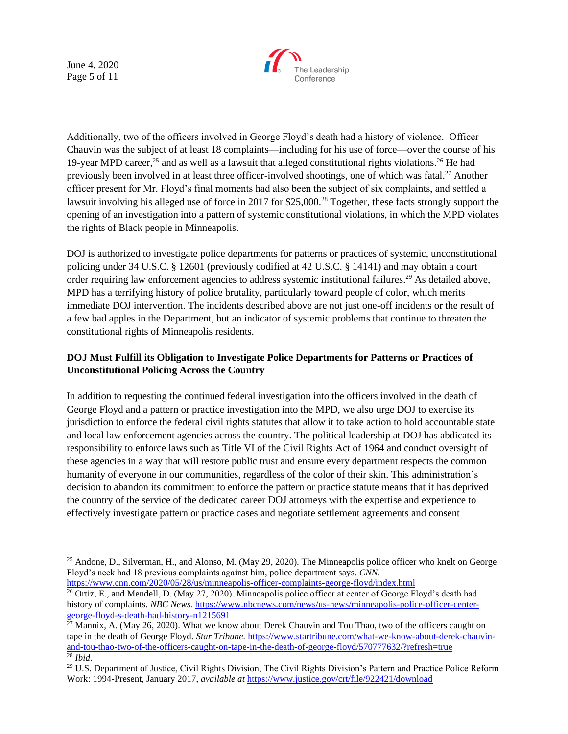June 4, 2020 Page 5 of 11



Additionally, two of the officers involved in George Floyd's death had a history of violence. Officer Chauvin was the subject of at least 18 complaints—including for his use of force—over the course of his 19-year MPD career,<sup>25</sup> and as well as a lawsuit that alleged constitutional rights violations.<sup>26</sup> He had previously been involved in at least three officer-involved shootings, one of which was fatal.<sup>27</sup> Another officer present for Mr. Floyd's final moments had also been the subject of six complaints, and settled a lawsuit involving his alleged use of force in 2017 for \$25,000.<sup>28</sup> Together, these facts strongly support the opening of an investigation into a pattern of systemic constitutional violations, in which the MPD violates the rights of Black people in Minneapolis.

DOJ is authorized to investigate police departments for patterns or practices of systemic, unconstitutional policing under 34 U.S.C. § 12601 (previously codified at 42 U.S.C. § 14141) and may obtain a court order requiring law enforcement agencies to address systemic institutional failures.<sup>29</sup> As detailed above, MPD has a terrifying history of police brutality, particularly toward people of color, which merits immediate DOJ intervention. The incidents described above are not just one-off incidents or the result of a few bad apples in the Department, but an indicator of systemic problems that continue to threaten the constitutional rights of Minneapolis residents.

## **DOJ Must Fulfill its Obligation to Investigate Police Departments for Patterns or Practices of Unconstitutional Policing Across the Country**

In addition to requesting the continued federal investigation into the officers involved in the death of George Floyd and a pattern or practice investigation into the MPD, we also urge DOJ to exercise its jurisdiction to enforce the federal civil rights statutes that allow it to take action to hold accountable state and local law enforcement agencies across the country. The political leadership at DOJ has abdicated its responsibility to enforce laws such as Title VI of the Civil Rights Act of 1964 and conduct oversight of these agencies in a way that will restore public trust and ensure every department respects the common humanity of everyone in our communities, regardless of the color of their skin. This administration's decision to abandon its commitment to enforce the pattern or practice statute means that it has deprived the country of the service of the dedicated career DOJ attorneys with the expertise and experience to effectively investigate pattern or practice cases and negotiate settlement agreements and consent

<sup>&</sup>lt;sup>25</sup> Andone, D., Silverman, H., and Alonso, M. (May 29, 2020). The Minneapolis police officer who knelt on George Floyd's neck had 18 previous complaints against him, police department says. *CNN.*  <https://www.cnn.com/2020/05/28/us/minneapolis-officer-complaints-george-floyd/index.html>

<sup>&</sup>lt;sup>26</sup> Ortiz, E., and Mendell, D. (May 27, 2020). Minneapolis police officer at center of George Floyd's death had history of complaints. *NBC News.* [https://www.nbcnews.com/news/us-news/minneapolis-police-officer-center](https://www.nbcnews.com/news/us-news/minneapolis-police-officer-center-george-floyd-s-death-had-history-n1215691)[george-floyd-s-death-had-history-n1215691](https://www.nbcnews.com/news/us-news/minneapolis-police-officer-center-george-floyd-s-death-had-history-n1215691)

<sup>&</sup>lt;sup>27</sup> Mannix, A. (May 26, 2020). What we know about Derek Chauvin and Tou Thao, two of the officers caught on tape in the death of George Floyd. *Star Tribune*. *[https://www.startribune.com/what-we-know-about-derek-chauvin](https://www.startribune.com/what-we-know-about-derek-chauvin-and-tou-thao-two-of-the-officers-caught-on-tape-in-the-death-of-george-floyd/570777632/?refresh=true)*[and-tou-thao-two-of-the-officers-caught-on-tape-in-the-death-of-george-floyd/570777632/?refresh=true](https://www.startribune.com/what-we-know-about-derek-chauvin-and-tou-thao-two-of-the-officers-caught-on-tape-in-the-death-of-george-floyd/570777632/?refresh=true) <sup>28</sup> *Ibid*.

<sup>&</sup>lt;sup>29</sup> U.S. Department of Justice, Civil Rights Division, The Civil Rights Division's Pattern and Practice Police Reform Work: 1994-Present, January 2017, *available at* <https://www.justice.gov/crt/file/922421/download>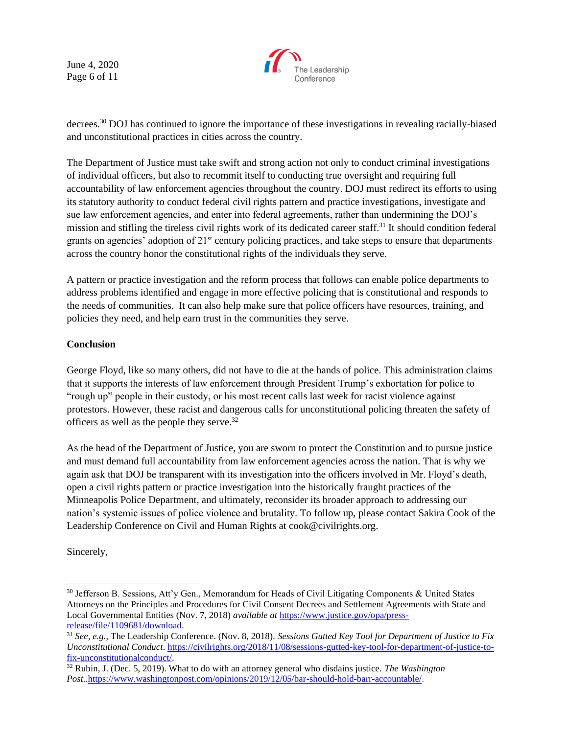June 4, 2020 Page 6 of 11



decrees.<sup>30</sup> DOJ has continued to ignore the importance of these investigations in revealing racially-biased and unconstitutional practices in cities across the country.

The Department of Justice must take swift and strong action not only to conduct criminal investigations of individual officers, but also to recommit itself to conducting true oversight and requiring full accountability of law enforcement agencies throughout the country. DOJ must redirect its efforts to using its statutory authority to conduct federal civil rights pattern and practice investigations, investigate and sue law enforcement agencies, and enter into federal agreements, rather than undermining the DOJ's mission and stifling the tireless civil rights work of its dedicated career staff.<sup>31</sup> It should condition federal grants on agencies' adoption of  $21<sup>st</sup>$  century policing practices, and take steps to ensure that departments across the country honor the constitutional rights of the individuals they serve.

A pattern or practice investigation and the reform process that follows can enable police departments to address problems identified and engage in more effective policing that is constitutional and responds to the needs of communities. It can also help make sure that police officers have resources, training, and policies they need, and help earn trust in the communities they serve.

## **Conclusion**

George Floyd, like so many others, did not have to die at the hands of police. This administration claims that it supports the interests of law enforcement through President Trump's exhortation for police to "rough up" people in their custody, or his most recent calls last week for racist violence against protestors. However, these racist and dangerous calls for unconstitutional policing threaten the safety of officers as well as the people they serve.<sup>32</sup>

As the head of the Department of Justice, you are sworn to protect the Constitution and to pursue justice and must demand full accountability from law enforcement agencies across the nation. That is why we again ask that DOJ be transparent with its investigation into the officers involved in Mr. Floyd's death, open a civil rights pattern or practice investigation into the historically fraught practices of the Minneapolis Police Department, and ultimately, reconsider its broader approach to addressing our nation's systemic issues of police violence and brutality. To follow up, please contact Sakira Cook of the Leadership Conference on Civil and Human Rights at cook@civilrights.org.

Sincerely,

<sup>30</sup> Jefferson B. Sessions, Att'y Gen., Memorandum for Heads of Civil Litigating Components & United States Attorneys on the Principles and Procedures for Civil Consent Decrees and Settlement Agreements with State and Local Governmental Entities (Nov. 7, 2018) *available at* [https://www.justice.gov/opa/press](https://www.justice.gov/opa/press-release/file/1109681/download)[release/file/1109681/download.](https://www.justice.gov/opa/press-release/file/1109681/download)

<sup>31</sup> *See, e.g.*, The Leadership Conference. (Nov. 8, 2018). *Sessions Gutted Key Tool for Department of Justice to Fix Unconstitutional Conduct*[. https://civilrights.org/2018/11/08/sessions-gutted-key-tool-for-department-of-justice-to](https://civilrights.org/2018/11/08/sessions-gutted-key-tool-for-department-of-justice-to-fix-unconstitutionalconduct/)[fix-unconstitutionalconduct/.](https://civilrights.org/2018/11/08/sessions-gutted-key-tool-for-department-of-justice-to-fix-unconstitutionalconduct/)

<sup>32</sup> Rubin, J. (Dec. 5, 2019). What to do with an attorney general who disdains justice. *The Washington Post.*[.https://www.washingtonpost.com/opinions/2019/12/05/bar-should-hold-barr-accountable/.](https://www.washingtonpost.com/opinions/2019/12/05/bar-should-hold-barr-accountable/)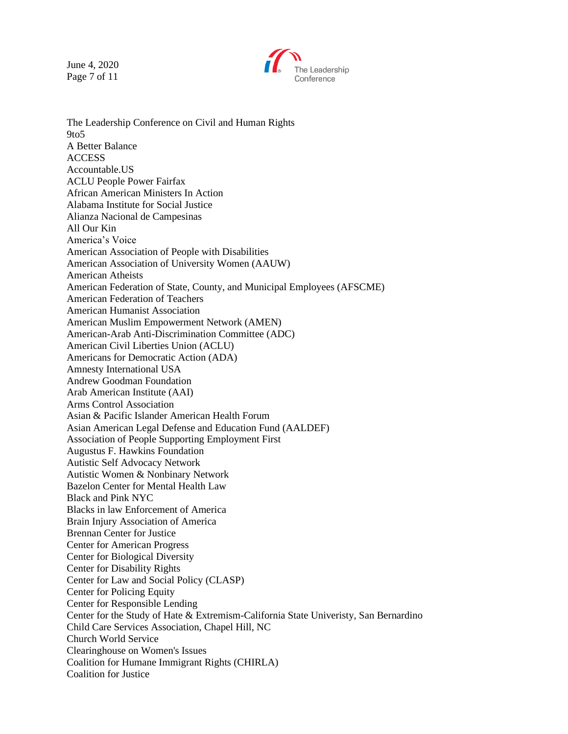June 4, 2020 Page 7 of 11



The Leadership Conference on Civil and Human Rights 9to5 A Better Balance **ACCESS** Accountable.US ACLU People Power Fairfax African American Ministers In Action Alabama Institute for Social Justice Alianza Nacional de Campesinas All Our Kin America's Voice American Association of People with Disabilities American Association of University Women (AAUW) American Atheists American Federation of State, County, and Municipal Employees (AFSCME) American Federation of Teachers American Humanist Association American Muslim Empowerment Network (AMEN) American-Arab Anti-Discrimination Committee (ADC) American Civil Liberties Union (ACLU) Americans for Democratic Action (ADA) Amnesty International USA Andrew Goodman Foundation Arab American Institute (AAI) Arms Control Association Asian & Pacific Islander American Health Forum Asian American Legal Defense and Education Fund (AALDEF) Association of People Supporting Employment First Augustus F. Hawkins Foundation Autistic Self Advocacy Network Autistic Women & Nonbinary Network Bazelon Center for Mental Health Law Black and Pink NYC Blacks in law Enforcement of America Brain Injury Association of America Brennan Center for Justice Center for American Progress Center for Biological Diversity Center for Disability Rights Center for Law and Social Policy (CLASP) Center for Policing Equity Center for Responsible Lending Center for the Study of Hate & Extremism-California State Univeristy, San Bernardino Child Care Services Association, Chapel Hill, NC Church World Service Clearinghouse on Women's Issues Coalition for Humane Immigrant Rights (CHIRLA) Coalition for Justice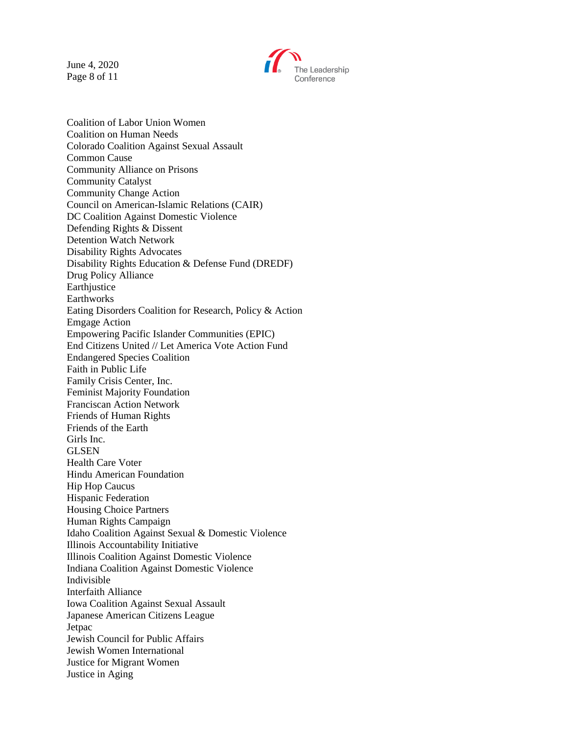June 4, 2020 Page 8 of 11



Coalition of Labor Union Women Coalition on Human Needs Colorado Coalition Against Sexual Assault Common Cause Community Alliance on Prisons Community Catalyst Community Change Action Council on American-Islamic Relations (CAIR) DC Coalition Against Domestic Violence Defending Rights & Dissent Detention Watch Network Disability Rights Advocates Disability Rights Education & Defense Fund (DREDF) Drug Policy Alliance Earthiustice **Earthworks** Eating Disorders Coalition for Research, Policy & Action Emgage Action Empowering Pacific Islander Communities (EPIC) End Citizens United // Let America Vote Action Fund Endangered Species Coalition Faith in Public Life Family Crisis Center, Inc. Feminist Majority Foundation Franciscan Action Network Friends of Human Rights Friends of the Earth Girls Inc. GLSEN Health Care Voter Hindu American Foundation Hip Hop Caucus Hispanic Federation Housing Choice Partners Human Rights Campaign Idaho Coalition Against Sexual & Domestic Violence Illinois Accountability Initiative Illinois Coalition Against Domestic Violence Indiana Coalition Against Domestic Violence Indivisible Interfaith Alliance Iowa Coalition Against Sexual Assault Japanese American Citizens League Jetpac Jewish Council for Public Affairs Jewish Women International Justice for Migrant Women Justice in Aging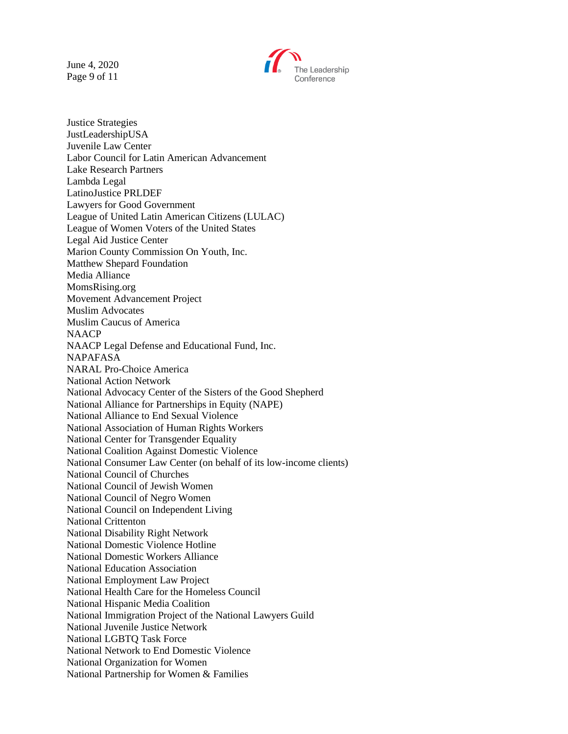June 4, 2020 Page 9 of 11



Justice Strategies JustLeadershipUSA Juvenile Law Center Labor Council for Latin American Advancement Lake Research Partners Lambda Legal LatinoJustice PRLDEF Lawyers for Good Government League of United Latin American Citizens (LULAC) League of Women Voters of the United States Legal Aid Justice Center Marion County Commission On Youth, Inc. Matthew Shepard Foundation Media Alliance MomsRising.org Movement Advancement Project Muslim Advocates Muslim Caucus of America NAACP NAACP Legal Defense and Educational Fund, Inc. NAPAFASA NARAL Pro-Choice America National Action Network National Advocacy Center of the Sisters of the Good Shepherd National Alliance for Partnerships in Equity (NAPE) National Alliance to End Sexual Violence National Association of Human Rights Workers National Center for Transgender Equality National Coalition Against Domestic Violence National Consumer Law Center (on behalf of its low-income clients) National Council of Churches National Council of Jewish Women National Council of Negro Women National Council on Independent Living National Crittenton National Disability Right Network National Domestic Violence Hotline National Domestic Workers Alliance National Education Association National Employment Law Project National Health Care for the Homeless Council National Hispanic Media Coalition National Immigration Project of the National Lawyers Guild National Juvenile Justice Network National LGBTQ Task Force National Network to End Domestic Violence National Organization for Women National Partnership for Women & Families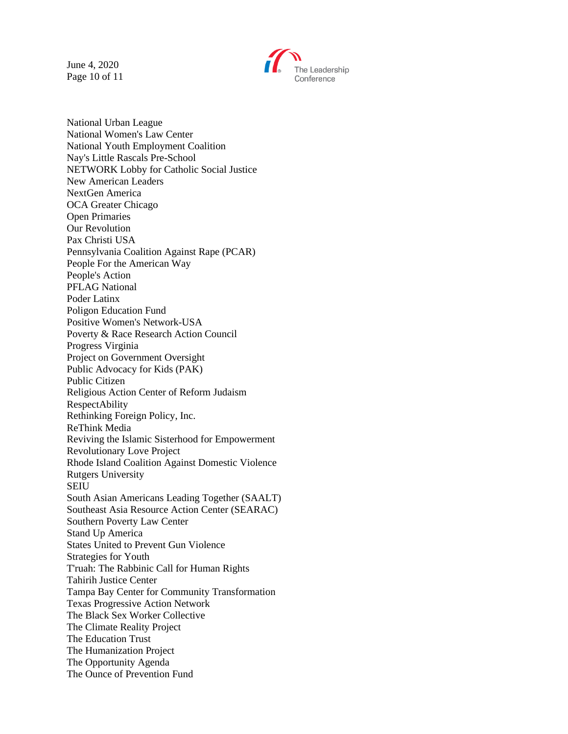June 4, 2020 Page 10 of 11



National Urban League National Women's Law Center National Youth Employment Coalition Nay's Little Rascals Pre-School NETWORK Lobby for Catholic Social Justice New American Leaders NextGen America OCA Greater Chicago Open Primaries Our Revolution Pax Christi USA Pennsylvania Coalition Against Rape (PCAR) People For the American Way People's Action PFLAG National Poder Latinx Poligon Education Fund Positive Women's Network-USA Poverty & Race Research Action Council Progress Virginia Project on Government Oversight Public Advocacy for Kids (PAK) Public Citizen Religious Action Center of Reform Judaism RespectAbility Rethinking Foreign Policy, Inc. ReThink Media Reviving the Islamic Sisterhood for Empowerment Revolutionary Love Project Rhode Island Coalition Against Domestic Violence Rutgers University SEIU South Asian Americans Leading Together (SAALT) Southeast Asia Resource Action Center (SEARAC) Southern Poverty Law Center Stand Up America States United to Prevent Gun Violence Strategies for Youth T'ruah: The Rabbinic Call for Human Rights Tahirih Justice Center Tampa Bay Center for Community Transformation Texas Progressive Action Network The Black Sex Worker Collective The Climate Reality Project The Education Trust The Humanization Project The Opportunity Agenda The Ounce of Prevention Fund